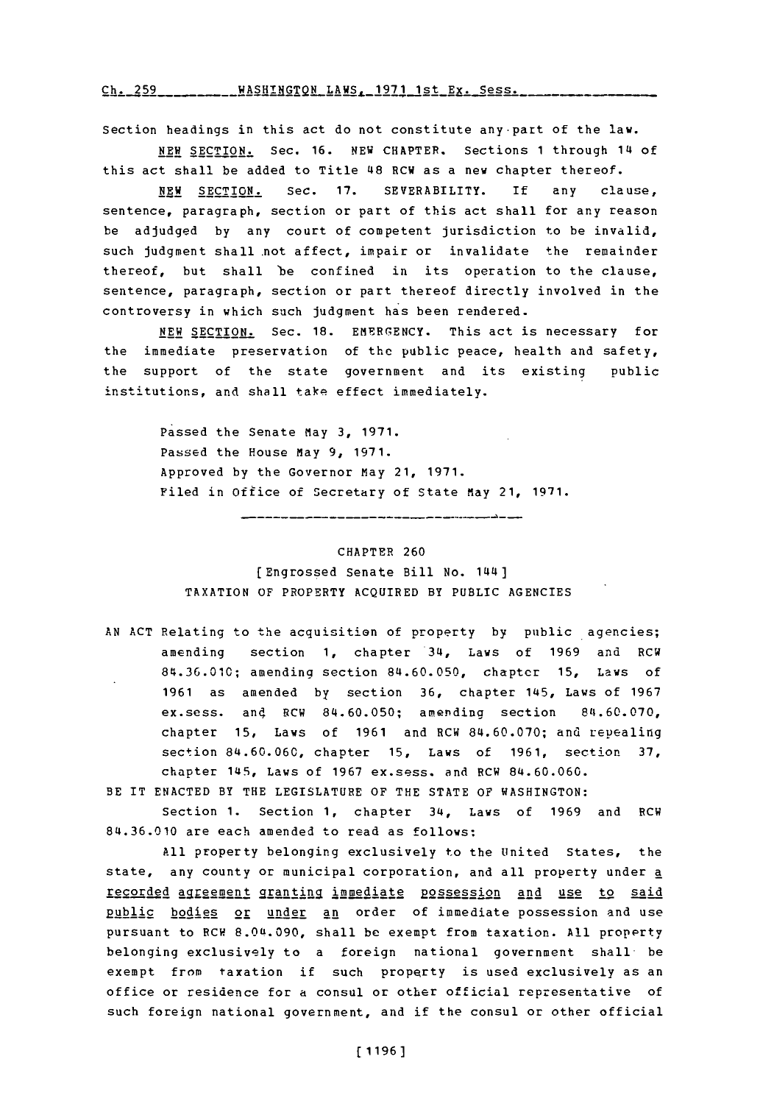Ch. 259 \_\_\_\_\_\_\_\_\_ WASHINGTON LAWS, 1971 1st Ex. Sess.

Section headings in this act do not constitute any-part of the law.

**NEW** SECTION. Sec. **16. NEW CHAPTER.** Sections **1** through 14 of this act shall be added to Title 48 RCW as a new chapter thereof.

**NEW** SECTION. See. **17.** SEVERABILITY. **if** any clause, sentence, paragraph, section or part of this act shall for any reason be adjudged **by** any court of competent jurisdiction to be invalid, such judgment shall not affect, impair or invalidate the remainder thereof, but shall 'be confined in its operation to the clause, sentence, paragraph, section or part thereof directly involved in the controversy in which such judgment has been rendered.

NEW SECTION. Sec. 18. EMERGENCY. This act is necessary for the immediate preservation of the public peace, health and safety, the support of the state government and its existing public institutions, and shall take effect immediately.

> Passed the Senate May **3, 1971.** Passed the House may **9, 1971.** Approved **by** the Governor May 21, **1971.** Filed in Office of Secretary of State May 21, 1971.

## CHAPTER **260**

[Engrossed Senate Bill No. 144] TAXATION OF PROPERTY ACQUIRED BY **PUBLIC AGENCIES**

**AN ACT** Relating to the acquisition of property **by** public agencies; amending section **1,** chapter 34, Laws of **1969** and RCW **84.36.010;** amending section **84.60.050,** chapter **15,** Laws **Of 1961** as amended **by** section **36,** chapter 145, Laws of **1967** ex.sess. and RCW 84.60.050; amending section 84.60.070, chapter **15,** Laws of **1961** and RCW **84.60.070;** and repealing section **84.60.060,** chapter **15,** Laws of **1961,** section **37,** chapter 145, Laws of **1967** ex.sess. and RCW **84.60.060.**

BE IT **ENACTED** BY THE LEGISLATURE OF THE **STATE** OF WASHINGTON:

section **1.** Section **1,** chapter 34, Laws of **1969** and RCW **84.36.010** are each amended to read as follows:

**All** property belonging exclusively to the United States, the state, any county or municipal corporation, and all property under a recorded agreement granting immediate possession and use to said public bodies or under an order of immediate possession and use pursuant to RCW **8.Oft.090,** shall be exempt from taxation. **All** propprty belonging exclusively to a foreign national government shall- be exempt from taxation if such property is used exclusively as an office or residence for a consul or other official representative of such foreign national government, and if the consul or other official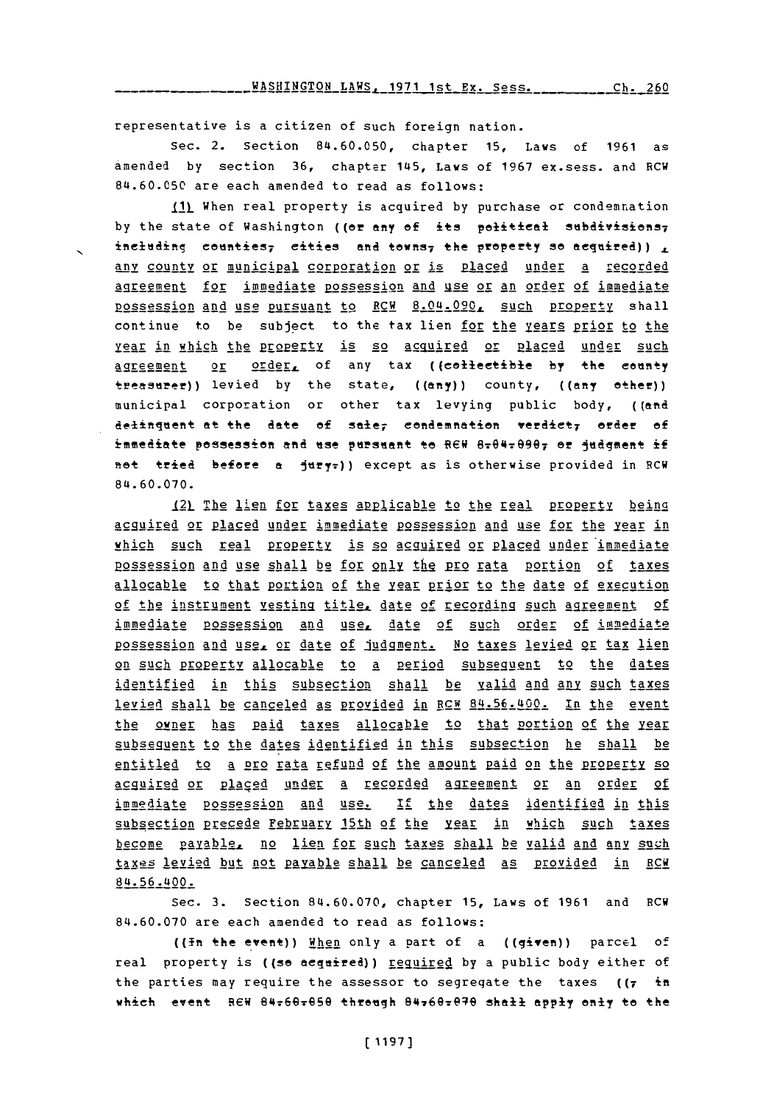representative is a citizen **of** such foreign nation.

Sec. 2. Section **84.60.050,** chapter **15,** Laws of **1961** as amended **by** section **36,** chapter 145, Laws of **1967** ex.sess. and RCW 84.60.050 are each amended to read as follows:

IL When real property is acquired **by** purchase or condemnation by the state of Washington ((or any of its political subdivisions<sub>7</sub> ineluding counties<sub>7</sub> eities and towns<sub>7</sub> the property so aequired)), any county or municipal gorporation or is placed under a recorded Aigrrment **for** immediate pgssession and gse or an order of immediate possssion and use pursuant to RCW 8.04.090. such property shall continue to be subject to the tax lien for the years prior to the year in which the property is so acquired or placed under such agreement or order, of any tax ((collectible by the county treasuref)) levied **by** the state, ((any)) county, **((any** other)) municipal corporation or other tax levying public body, ((and definquent at the date of sale; condemnation verdict; order of immediate possession and use pursuant to REW 8-04-0907 or judgment if net tried before a jury:)) except as is otherwise provided in RCW 84.60.070.

121 The lien for taxes applicable to the real property being agguired or placed under immediate possession and use for the year in which such real **prgpgey** is so acguired or placed under immediate p2ssession and use shall be for only jte pro **rata** portion of taxes allocable to that portion of the year prior to the date of execution of the instrument vesting titly date of recordin **such** apreement of immediate possession and use, date of such order of immediate possession and use, or date of Judgment. No taxes levied or tax lien on such property allocable to a period subsequent to the dates identified in this subsection shall be valid and anv such taxes levied shall be canceled as provided in RCW 84.56.400. In the event the owner has paid taxes allocable to that portion of the year subsequent to the dates identified in this subsection he shall be entitled to a pro rata refund of the amount paid on the property so acquired or placed under a recorded agreement or an order of immediate possession and use. If the dates identified in this subsection precede February 15th of the year in which such taxes become payable, no lien for such taxes shall be valid and any such taxes levied but not payable shall be canceled **as** provided in RCW 84.56.400.

Sec. **3.** Section 84.60.070, chapter **15,** Laws of **1961** and RCW **84.60.070** are each amended to read as follows:

((in the event)) Hhen only a part of a ((given)) parcel of real property is ((so acquired)) <u>required</u> by a public body either of the parties may require the assessor to segregate the taxes **((7** in which event REW 84r6Qr99 threigh 847692099 shall **apply** enly to the